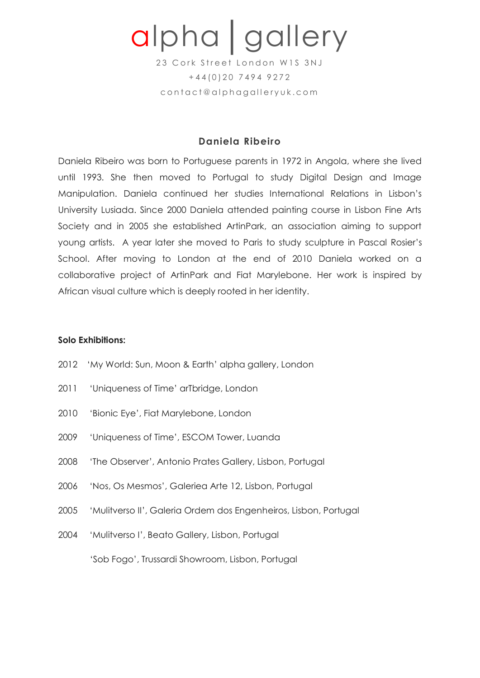# alpha│gallery

23 Cork Street London W1S 3NJ  $+44(0)2074949272$ contact@alphagalleryuk.com

## **Daniela Ribeiro**

Daniela Ribeiro was born to Portuguese parents in 1972 in Angola, where she lived until 1993. She then moved to Portugal to study Digital Design and Image Manipulation. Daniela continued her studies International Relations in Lisbon's University Lusiada. Since 2000 Daniela attended painting course in Lisbon Fine Arts Society and in 2005 she established ArtinPark, an association aiming to support young artists. A year later she moved to Paris to study sculpture in Pascal Rosier's School. After moving to London at the end of 2010 Daniela worked on a collaborative project of ArtinPark and Fiat Marylebone. Her work is inspired by African visual culture which is deeply rooted in her identity.

#### **Solo Exhibitions:**

- 2012 'My World: Sun, Moon & Earth' alpha gallery, London
- 2011 'Uniqueness of Time' arTbridge, London
- 2010 'Bionic Eye', Fiat Marylebone, London
- 2009 'Uniqueness of Time', ESCOM Tower, Luanda
- 2008 'The Observer', Antonio Prates Gallery, Lisbon, Portugal
- 2006 'Nos, Os Mesmos', Galeriea Arte 12, Lisbon, Portugal
- 2005 'Mulitverso II', Galeria Ordem dos Engenheiros, Lisbon, Portugal
- 2004 'Mulitverso I', Beato Gallery, Lisbon, Portugal

'Sob Fogo', Trussardi Showroom, Lisbon, Portugal